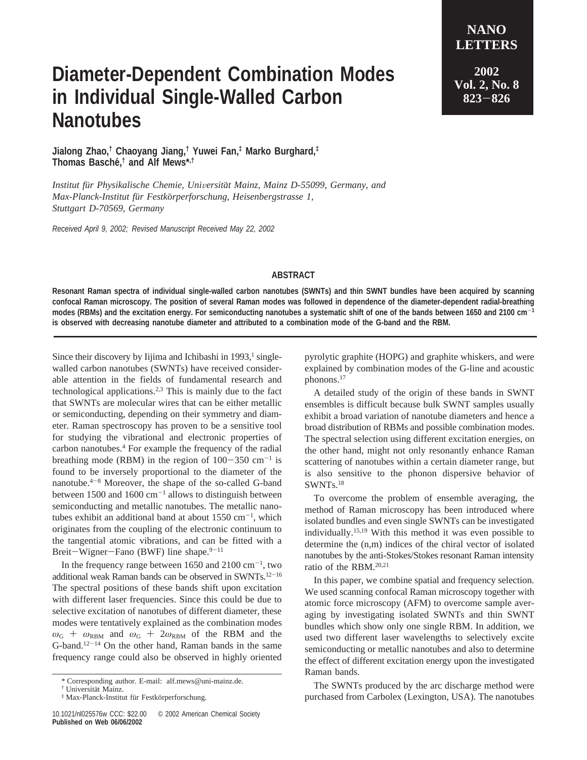## **Diameter-Dependent Combination Modes in Individual Single-Walled Carbon Nanotubes**

**LETTERS 2002 Vol. 2, No. 8 <sup>823</sup>**-**<sup>826</sup>**

**NANO**

**Jialong Zhao,† Chaoyang Jiang,† Yuwei Fan,‡ Marko Burghard,‡ Thomas Basche´,† and Alf Mews\*,†**

*Institut fu*¨*r Physikalische Chemie, Uni*V*ersita*¨*t Mainz, Mainz D-55099, Germany, and Max-Planck-Institut fu*¨*r Festko*¨*rperforschung, Heisenbergstrasse 1, Stuttgart D-70569, Germany*

*Received April 9, 2002; Revised Manuscript Received May 22, 2002*

## **ABSTRACT**

**Resonant Raman spectra of individual single-walled carbon nanotubes (SWNTs) and thin SWNT bundles have been acquired by scanning confocal Raman microscopy. The position of several Raman modes was followed in dependence of the diameter-dependent radial-breathing modes (RBMs) and the excitation energy. For semiconducting nanotubes a systematic shift of one of the bands between 1650 and 2100 cm**-**<sup>1</sup> is observed with decreasing nanotube diameter and attributed to a combination mode of the G-band and the RBM.**

Since their discovery by Iijima and Ichibashi in  $1993$ , singlewalled carbon nanotubes (SWNTs) have received considerable attention in the fields of fundamental research and technological applications.2,3 This is mainly due to the fact that SWNTs are molecular wires that can be either metallic or semiconducting, depending on their symmetry and diameter. Raman spectroscopy has proven to be a sensitive tool for studying the vibrational and electronic properties of carbon nanotubes.4 For example the frequency of the radial breathing mode (RBM) in the region of  $100-350$  cm<sup>-1</sup> is found to be inversely proportional to the diameter of the nanotube.4-<sup>8</sup> Moreover, the shape of the so-called G-band between 1500 and 1600  $cm^{-1}$  allows to distinguish between semiconducting and metallic nanotubes. The metallic nanotubes exhibit an additional band at about  $1550 \text{ cm}^{-1}$ , which originates from the coupling of the electronic continuum to the tangential atomic vibrations, and can be fitted with a Breit-Wigner-Fano (BWF) line shape. $9-11$ 

In the frequency range between  $1650$  and  $2100 \text{ cm}^{-1}$ , two additional weak Raman bands can be observed in SWNTs.12-<sup>16</sup> The spectral positions of these bands shift upon excitation with different laser frequencies. Since this could be due to selective excitation of nanotubes of different diameter, these modes were tentatively explained as the combination modes  $\omega$ <sub>G</sub> +  $\omega$ <sub>RBM</sub> and  $\omega$ <sub>G</sub> + 2 $\omega$ <sub>RBM</sub> of the RBM and the G-band.<sup>12-14</sup> On the other hand, Raman bands in the same frequency range could also be observed in highly oriented pyrolytic graphite (HOPG) and graphite whiskers, and were explained by combination modes of the G-line and acoustic phonons.17

A detailed study of the origin of these bands in SWNT ensembles is difficult because bulk SWNT samples usually exhibit a broad variation of nanotube diameters and hence a broad distribution of RBMs and possible combination modes. The spectral selection using different excitation energies, on the other hand, might not only resonantly enhance Raman scattering of nanotubes within a certain diameter range, but is also sensitive to the phonon dispersive behavior of SWNTs.18

To overcome the problem of ensemble averaging, the method of Raman microscopy has been introduced where isolated bundles and even single SWNTs can be investigated individually.15,19 With this method it was even possible to determine the (n,m) indices of the chiral vector of isolated nanotubes by the anti-Stokes/Stokes resonant Raman intensity ratio of the RBM.20,21

In this paper, we combine spatial and frequency selection. We used scanning confocal Raman microscopy together with atomic force microscopy (AFM) to overcome sample averaging by investigating isolated SWNTs and thin SWNT bundles which show only one single RBM. In addition, we used two different laser wavelengths to selectively excite semiconducting or metallic nanotubes and also to determine the effect of different excitation energy upon the investigated Raman bands.

The SWNTs produced by the arc discharge method were purchased from Carbolex (Lexington, USA). The nanotubes

<sup>\*</sup> Corresponding author. E-mail: alf.mews@uni-mainz.de.

<sup>&</sup>lt;sup>†</sup> Universität Mainz.

 $*$  Max-Planck-Institut für Festkörperforschung.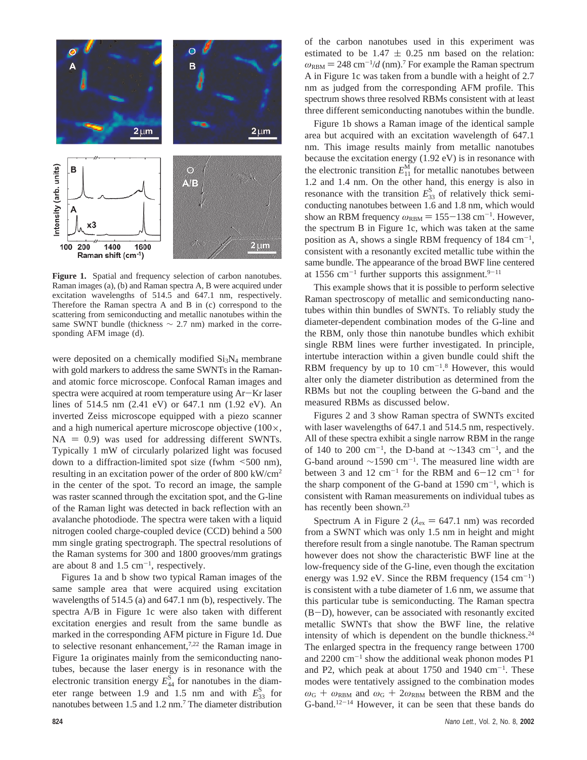

**Figure 1.** Spatial and frequency selection of carbon nanotubes. Raman images (a), (b) and Raman spectra A, B were acquired under excitation wavelengths of 514.5 and 647.1 nm, respectively. Therefore the Raman spectra A and B in (c) correspond to the scattering from semiconducting and metallic nanotubes within the same SWNT bundle (thickness  $\sim$  2.7 nm) marked in the corresponding AFM image (d).

were deposited on a chemically modified  $Si<sub>3</sub>N<sub>4</sub>$  membrane with gold markers to address the same SWNTs in the Ramanand atomic force microscope. Confocal Raman images and spectra were acquired at room temperature using Ar-Kr laser lines of 514.5 nm (2.41 eV) or 647.1 nm (1.92 eV). An inverted Zeiss microscope equipped with a piezo scanner and a high numerical aperture microscope objective (100×,  $NA = 0.9$  was used for addressing different SWNTs. Typically 1 mW of circularly polarized light was focused down to a diffraction-limited spot size (fwhm <500 nm), resulting in an excitation power of the order of 800 kW/cm2 in the center of the spot. To record an image, the sample was raster scanned through the excitation spot, and the G-line of the Raman light was detected in back reflection with an avalanche photodiode. The spectra were taken with a liquid nitrogen cooled charge-coupled device (CCD) behind a 500 mm single grating spectrograph. The spectral resolutions of the Raman systems for 300 and 1800 grooves/mm gratings are about 8 and  $1.5 \text{ cm}^{-1}$ , respectively.

Figures 1a and b show two typical Raman images of the same sample area that were acquired using excitation wavelengths of 514.5 (a) and 647.1 nm (b), respectively. The spectra A/B in Figure 1c were also taken with different excitation energies and result from the same bundle as marked in the corresponding AFM picture in Figure 1d. Due to selective resonant enhancement, $7,22$  the Raman image in Figure 1a originates mainly from the semiconducting nanotubes, because the laser energy is in resonance with the electronic transition energy  $E_{44}^S$  for nanotubes in the diameter range between 1.9 and 1.5 nm and with  $E_{33}^{\text{S}}$  for nanotubes between 1.5 and 1.2 nm.7 The diameter distribution

of the carbon nanotubes used in this experiment was estimated to be  $1.47 \pm 0.25$  nm based on the relation:  $\omega_{\rm RBM} = 248 \text{ cm}^{-1}/d \text{ (nm)}$ .<sup>7</sup> For example the Raman spectrum A in Figure 1c was taken from a bundle with a height of 2.7 A in Figure 1c was taken from a bundle with a height of 2.7 nm as judged from the corresponding AFM profile. This spectrum shows three resolved RBMs consistent with at least three different semiconducting nanotubes within the bundle.

Figure 1b shows a Raman image of the identical sample area but acquired with an excitation wavelength of 647.1 nm. This image results mainly from metallic nanotubes because the excitation energy (1.92 eV) is in resonance with the electronic transition  $E_{11}^{\text{M}}$  for metallic nanotubes between 1.2 and 1.4 nm. On the other hand, this energy is also in resonance with the transition  $E_{33}^{\text{S}}$  of relatively thick semiconducting nanotubes between 1.6 and 1.8 nm, which would show an RBM frequency  $\omega_{RBM} = 155-138$  cm<sup>-1</sup>. However, the spectrum B in Figure 1c, which was taken at the same the spectrum B in Figure 1c, which was taken at the same position as A, shows a single RBM frequency of  $184 \text{ cm}^{-1}$ , consistent with a resonantly excited metallic tube within the same bundle. The appearance of the broad BWF line centered at 1556 cm<sup>-1</sup> further supports this assignment.<sup>9-11</sup>

This example shows that it is possible to perform selective Raman spectroscopy of metallic and semiconducting nanotubes within thin bundles of SWNTs. To reliably study the diameter-dependent combination modes of the G-line and the RBM, only those thin nanotube bundles which exhibit single RBM lines were further investigated. In principle, intertube interaction within a given bundle could shift the RBM frequency by up to  $10 \text{ cm}^{-1.8}$  However, this would alter only the diameter distribution as determined from the RBMs but not the coupling between the G-band and the measured RBMs as discussed below.

Figures 2 and 3 show Raman spectra of SWNTs excited with laser wavelengths of 647.1 and 514.5 nm, respectively. All of these spectra exhibit a single narrow RBM in the range of 140 to 200 cm<sup>-1</sup>, the D-band at  $\sim$ 1343 cm<sup>-1</sup>, and the G-band around ∼1590 cm-1. The measured line width are between 3 and 12 cm<sup>-1</sup> for the RBM and  $6-12$  cm<sup>-1</sup> for the sharp component of the G-band at  $1590 \text{ cm}^{-1}$ , which is consistent with Raman measurements on individual tubes as has recently been shown.<sup>23</sup>

Spectrum A in Figure 2 ( $\lambda_{\text{ex}} = 647.1$  nm) was recorded from a SWNT which was only 1.5 nm in height and might therefore result from a single nanotube. The Raman spectrum however does not show the characteristic BWF line at the low-frequency side of the G-line, even though the excitation energy was  $1.92$  eV. Since the RBM frequency  $(154 \text{ cm}^{-1})$ is consistent with a tube diameter of 1.6 nm, we assume that this particular tube is semiconducting. The Raman spectra (B-D), however, can be associated with resonantly excited metallic SWNTs that show the BWF line, the relative intensity of which is dependent on the bundle thickness.<sup>24</sup> The enlarged spectra in the frequency range between 1700 and  $2200 \text{ cm}^{-1}$  show the additional weak phonon modes P1 and P2, which peak at about  $1750$  and  $1940 \text{ cm}^{-1}$ . These modes were tentatively assigned to the combination modes  $\omega$ <sub>G</sub> +  $\omega$ <sub>RBM</sub> and  $\omega$ <sub>G</sub> + 2 $\omega$ <sub>RBM</sub> between the RBM and the G-band.<sup>12-14</sup> However, it can be seen that these bands do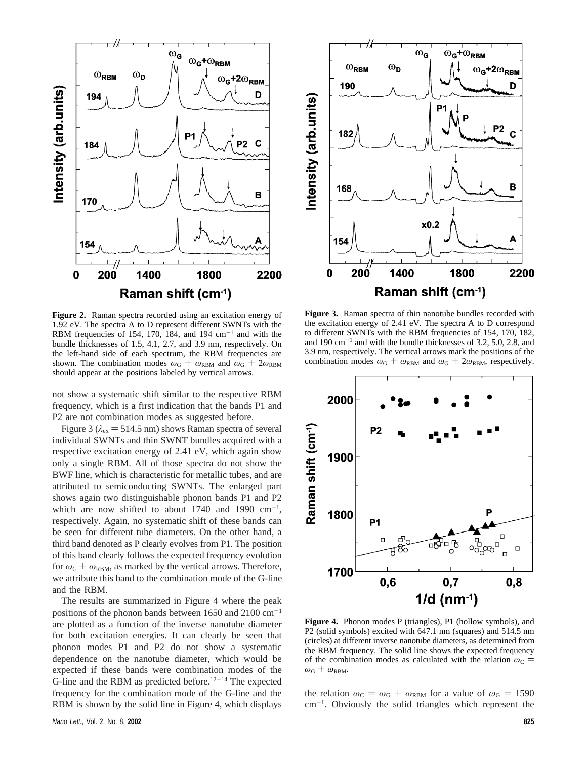

**Figure 2.** Raman spectra recorded using an excitation energy of 1.92 eV. The spectra A to D represent different SWNTs with the RBM frequencies of 154, 170, 184, and 194  $\text{cm}^{-1}$  and with the bundle thicknesses of 1.5, 4.1, 2.7, and 3.9 nm, respectively. On the left-hand side of each spectrum, the RBM frequencies are shown. The combination modes  $\omega_{\text{G}} + \omega_{\text{RBM}}$  and  $\omega_{\text{G}} + 2\omega_{\text{RBM}}$ should appear at the positions labeled by vertical arrows.

not show a systematic shift similar to the respective RBM frequency, which is a first indication that the bands P1 and P2 are not combination modes as suggested before.

Figure 3 ( $\lambda_{\rm ex}$  = 514.5 nm) shows Raman spectra of several individual SWNTs and thin SWNT bundles acquired with a respective excitation energy of 2.41 eV, which again show only a single RBM. All of those spectra do not show the BWF line, which is characteristic for metallic tubes, and are attributed to semiconducting SWNTs. The enlarged part shows again two distinguishable phonon bands P1 and P2 which are now shifted to about 1740 and 1990  $cm^{-1}$ , respectively. Again, no systematic shift of these bands can be seen for different tube diameters. On the other hand, a third band denoted as P clearly evolves from P1. The position of this band clearly follows the expected frequency evolution for  $\omega_{\rm G} + \omega_{\rm RBM}$ , as marked by the vertical arrows. Therefore, we attribute this band to the combination mode of the G-line and the RBM.

The results are summarized in Figure 4 where the peak positions of the phonon bands between 1650 and 2100 cm-<sup>1</sup> are plotted as a function of the inverse nanotube diameter for both excitation energies. It can clearly be seen that phonon modes P1 and P2 do not show a systematic dependence on the nanotube diameter, which would be expected if these bands were combination modes of the G-line and the RBM as predicted before.<sup>12-14</sup> The expected frequency for the combination mode of the G-line and the RBM is shown by the solid line in Figure 4, which displays



**Figure 3.** Raman spectra of thin nanotube bundles recorded with the excitation energy of 2.41 eV. The spectra A to D correspond to different SWNTs with the RBM frequencies of 154, 170, 182, and  $190 \text{ cm}^{-1}$  and with the bundle thicknesses of 3.2, 5.0, 2.8, and 3.9 nm, respectively. The vertical arrows mark the positions of the combination modes  $\omega_{\text{G}} + \omega_{\text{RBM}}$  and  $\omega_{\text{G}} + 2\omega_{\text{RBM}}$ , respectively.



**Figure 4.** Phonon modes P (triangles), P1 (hollow symbols), and P2 (solid symbols) excited with 647.1 nm (squares) and 514.5 nm (circles) at different inverse nanotube diameters, as determined from the RBM frequency. The solid line shows the expected frequency of the combination modes as calculated with the relation  $\omega_C$  =  $\omega_{\rm G} + \omega_{\rm RBM}.$ 

the relation  $\omega_C = \omega_G + \omega_{RBM}$  for a value of  $\omega_G = 1590$ cm-<sup>1</sup> . Obviously the solid triangles which represent the